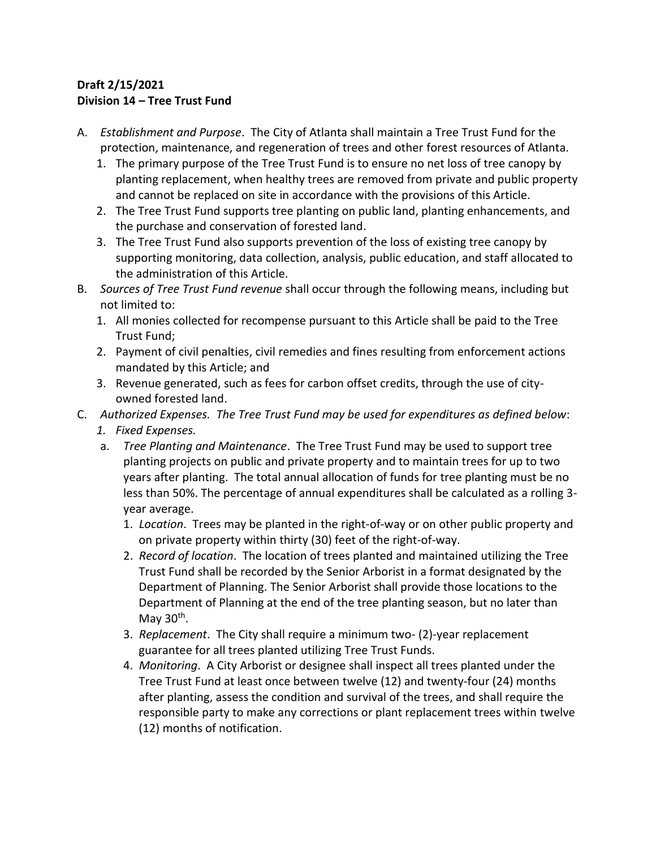## **Draft 2/15/2021 Division 14 – Tree Trust Fund**

- A. *Establishment and Purpose*. The City of Atlanta shall maintain a Tree Trust Fund for the protection, maintenance, and regeneration of trees and other forest resources of Atlanta.
	- 1. The primary purpose of the Tree Trust Fund is to ensure no net loss of tree canopy by planting replacement, when healthy trees are removed from private and public property and cannot be replaced on site in accordance with the provisions of this Article.
	- 2. The Tree Trust Fund supports tree planting on public land, planting enhancements, and the purchase and conservation of forested land.
	- 3. The Tree Trust Fund also supports prevention of the loss of existing tree canopy by supporting monitoring, data collection, analysis, public education, and staff allocated to the administration of this Article.
- B. *Sources of Tree Trust Fund revenue* shall occur through the following means, including but not limited to:
	- 1. All monies collected for recompense pursuant to this Article shall be paid to the Tree Trust Fund;
	- 2. Payment of civil penalties, civil remedies and fines resulting from enforcement actions mandated by this Article; and
	- 3. Revenue generated, such as fees for carbon offset credits, through the use of cityowned forested land.
- C. *Authorized Expenses. The Tree Trust Fund may be used for expenditures as defined below*:
	- *1. Fixed Expenses.*
	- a. *Tree Planting and Maintenance*. The Tree Trust Fund may be used to support tree planting projects on public and private property and to maintain trees for up to two years after planting. The total annual allocation of funds for tree planting must be no less than 50%. The percentage of annual expenditures shall be calculated as a rolling 3 year average.
		- 1. *Location*. Trees may be planted in the right-of-way or on other public property and on private property within thirty (30) feet of the right-of-way.
		- 2. *Record of location*. The location of trees planted and maintained utilizing the Tree Trust Fund shall be recorded by the Senior Arborist in a format designated by the Department of Planning. The Senior Arborist shall provide those locations to the Department of Planning at the end of the tree planting season, but no later than May 30<sup>th</sup>.
		- 3. *Replacement*. The City shall require a minimum two- (2)-year replacement guarantee for all trees planted utilizing Tree Trust Funds.
		- 4. *Monitoring*. A City Arborist or designee shall inspect all trees planted under the Tree Trust Fund at least once between twelve (12) and twenty-four (24) months after planting, assess the condition and survival of the trees, and shall require the responsible party to make any corrections or plant replacement trees within twelve (12) months of notification.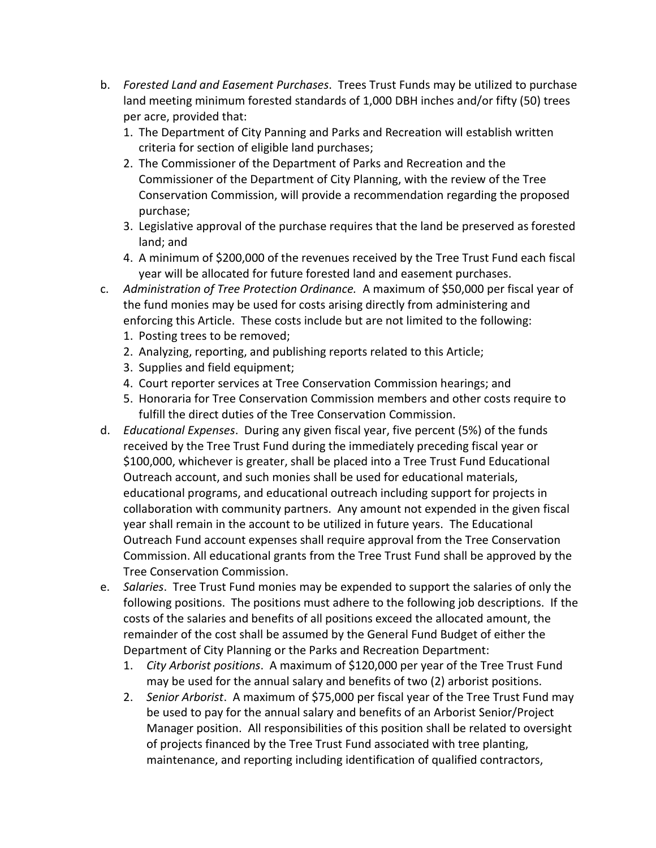- b. *Forested Land and Easement Purchases*. Trees Trust Funds may be utilized to purchase land meeting minimum forested standards of 1,000 DBH inches and/or fifty (50) trees per acre, provided that:
	- 1. The Department of City Panning and Parks and Recreation will establish written criteria for section of eligible land purchases;
	- 2. The Commissioner of the Department of Parks and Recreation and the Commissioner of the Department of City Planning, with the review of the Tree Conservation Commission, will provide a recommendation regarding the proposed purchase;
	- 3. Legislative approval of the purchase requires that the land be preserved as forested land; and
	- 4. A minimum of \$200,000 of the revenues received by the Tree Trust Fund each fiscal year will be allocated for future forested land and easement purchases.
- c. *Administration of Tree Protection Ordinance.* A maximum of \$50,000 per fiscal year of the fund monies may be used for costs arising directly from administering and enforcing this Article. These costs include but are not limited to the following:
	- 1. Posting trees to be removed;
	- 2. Analyzing, reporting, and publishing reports related to this Article;
	- 3. Supplies and field equipment;
	- 4. Court reporter services at Tree Conservation Commission hearings; and
	- 5. Honoraria for Tree Conservation Commission members and other costs require to fulfill the direct duties of the Tree Conservation Commission.
- d. *Educational Expenses*. During any given fiscal year, five percent (5%) of the funds received by the Tree Trust Fund during the immediately preceding fiscal year or \$100,000, whichever is greater, shall be placed into a Tree Trust Fund Educational Outreach account, and such monies shall be used for educational materials, educational programs, and educational outreach including support for projects in collaboration with community partners. Any amount not expended in the given fiscal year shall remain in the account to be utilized in future years. The Educational Outreach Fund account expenses shall require approval from the Tree Conservation Commission. All educational grants from the Tree Trust Fund shall be approved by the Tree Conservation Commission.
- e. *Salaries*. Tree Trust Fund monies may be expended to support the salaries of only the following positions. The positions must adhere to the following job descriptions. If the costs of the salaries and benefits of all positions exceed the allocated amount, the remainder of the cost shall be assumed by the General Fund Budget of either the Department of City Planning or the Parks and Recreation Department:
	- 1. *City Arborist positions*. A maximum of \$120,000 per year of the Tree Trust Fund may be used for the annual salary and benefits of two (2) arborist positions.
	- 2. *Senior Arborist*. A maximum of \$75,000 per fiscal year of the Tree Trust Fund may be used to pay for the annual salary and benefits of an Arborist Senior/Project Manager position. All responsibilities of this position shall be related to oversight of projects financed by the Tree Trust Fund associated with tree planting, maintenance, and reporting including identification of qualified contractors,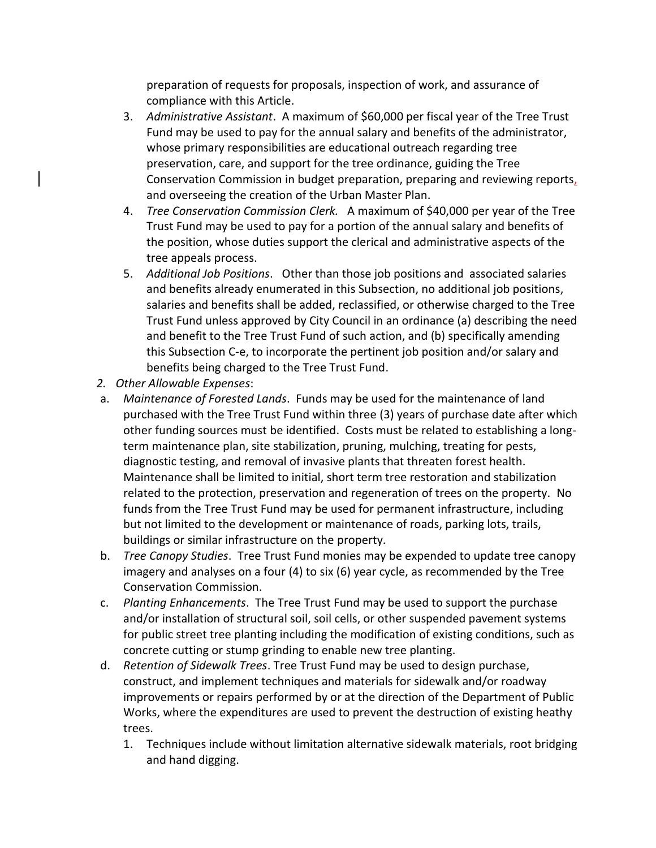preparation of requests for proposals, inspection of work, and assurance of compliance with this Article.

- 3. *Administrative Assistant*. A maximum of \$60,000 per fiscal year of the Tree Trust Fund may be used to pay for the annual salary and benefits of the administrator, whose primary responsibilities are educational outreach regarding tree preservation, care, and support for the tree ordinance, guiding the Tree Conservation Commission in budget preparation, preparing and reviewing reports, and overseeing the creation of the Urban Master Plan.
- 4. *Tree Conservation Commission Clerk.* A maximum of \$40,000 per year of the Tree Trust Fund may be used to pay for a portion of the annual salary and benefits of the position, whose duties support the clerical and administrative aspects of the tree appeals process.
- 5. *Additional Job Positions*. Other than those job positions and associated salaries and benefits already enumerated in this Subsection, no additional job positions, salaries and benefits shall be added, reclassified, or otherwise charged to the Tree Trust Fund unless approved by City Council in an ordinance (a) describing the need and benefit to the Tree Trust Fund of such action, and (b) specifically amending this Subsection C-e, to incorporate the pertinent job position and/or salary and benefits being charged to the Tree Trust Fund.
- *2. Other Allowable Expenses*:
- a. *Maintenance of Forested Lands*. Funds may be used for the maintenance of land purchased with the Tree Trust Fund within three (3) years of purchase date after which other funding sources must be identified. Costs must be related to establishing a longterm maintenance plan, site stabilization, pruning, mulching, treating for pests, diagnostic testing, and removal of invasive plants that threaten forest health. Maintenance shall be limited to initial, short term tree restoration and stabilization related to the protection, preservation and regeneration of trees on the property. No funds from the Tree Trust Fund may be used for permanent infrastructure, including but not limited to the development or maintenance of roads, parking lots, trails, buildings or similar infrastructure on the property.
- b. *Tree Canopy Studies*. Tree Trust Fund monies may be expended to update tree canopy imagery and analyses on a four (4) to six (6) year cycle, as recommended by the Tree Conservation Commission.
- c. *Planting Enhancements*. The Tree Trust Fund may be used to support the purchase and/or installation of structural soil, soil cells, or other suspended pavement systems for public street tree planting including the modification of existing conditions, such as concrete cutting or stump grinding to enable new tree planting.
- d. *Retention of Sidewalk Trees*. Tree Trust Fund may be used to design purchase, construct, and implement techniques and materials for sidewalk and/or roadway improvements or repairs performed by or at the direction of the Department of Public Works, where the expenditures are used to prevent the destruction of existing heathy trees.
	- 1. Techniques include without limitation alternative sidewalk materials, root bridging and hand digging.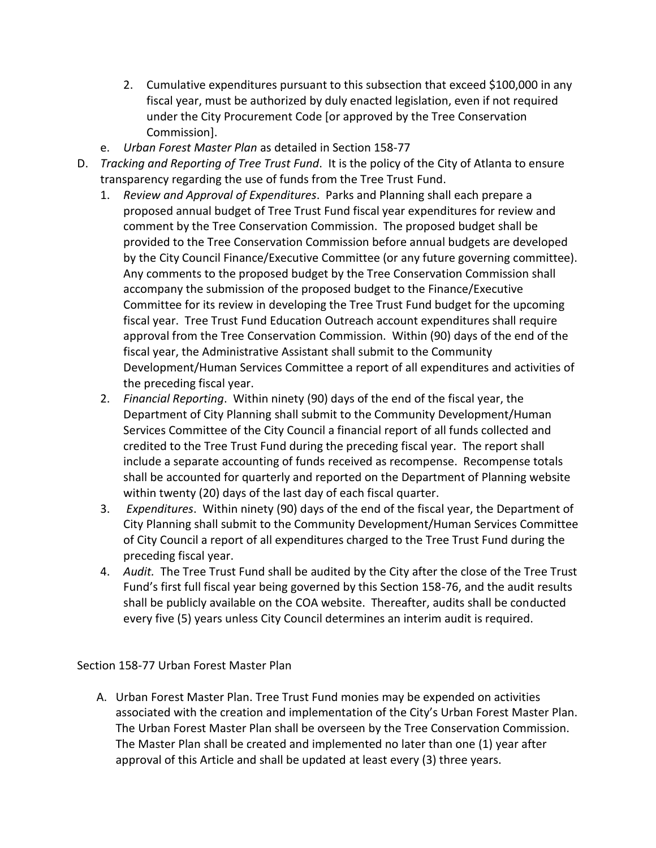- 2. Cumulative expenditures pursuant to this subsection that exceed \$100,000 in any fiscal year, must be authorized by duly enacted legislation, even if not required under the City Procurement Code [or approved by the Tree Conservation Commission].
- e. *Urban Forest Master Plan* as detailed in Section 158-77
- D. *Tracking and Reporting of Tree Trust Fund*. It is the policy of the City of Atlanta to ensure transparency regarding the use of funds from the Tree Trust Fund.
	- 1. *Review and Approval of Expenditures*. Parks and Planning shall each prepare a proposed annual budget of Tree Trust Fund fiscal year expenditures for review and comment by the Tree Conservation Commission. The proposed budget shall be provided to the Tree Conservation Commission before annual budgets are developed by the City Council Finance/Executive Committee (or any future governing committee). Any comments to the proposed budget by the Tree Conservation Commission shall accompany the submission of the proposed budget to the Finance/Executive Committee for its review in developing the Tree Trust Fund budget for the upcoming fiscal year. Tree Trust Fund Education Outreach account expenditures shall require approval from the Tree Conservation Commission. Within (90) days of the end of the fiscal year, the Administrative Assistant shall submit to the Community Development/Human Services Committee a report of all expenditures and activities of the preceding fiscal year.
	- 2. *Financial Reporting*. Within ninety (90) days of the end of the fiscal year, the Department of City Planning shall submit to the Community Development/Human Services Committee of the City Council a financial report of all funds collected and credited to the Tree Trust Fund during the preceding fiscal year. The report shall include a separate accounting of funds received as recompense. Recompense totals shall be accounted for quarterly and reported on the Department of Planning website within twenty (20) days of the last day of each fiscal quarter.
	- 3. *Expenditures*. Within ninety (90) days of the end of the fiscal year, the Department of City Planning shall submit to the Community Development/Human Services Committee of City Council a report of all expenditures charged to the Tree Trust Fund during the preceding fiscal year.
	- 4. *Audit.* The Tree Trust Fund shall be audited by the City after the close of the Tree Trust Fund's first full fiscal year being governed by this Section 158-76, and the audit results shall be publicly available on the COA website. Thereafter, audits shall be conducted every five (5) years unless City Council determines an interim audit is required.

## Section 158-77 Urban Forest Master Plan

A. Urban Forest Master Plan. Tree Trust Fund monies may be expended on activities associated with the creation and implementation of the City's Urban Forest Master Plan. The Urban Forest Master Plan shall be overseen by the Tree Conservation Commission. The Master Plan shall be created and implemented no later than one (1) year after approval of this Article and shall be updated at least every (3) three years.